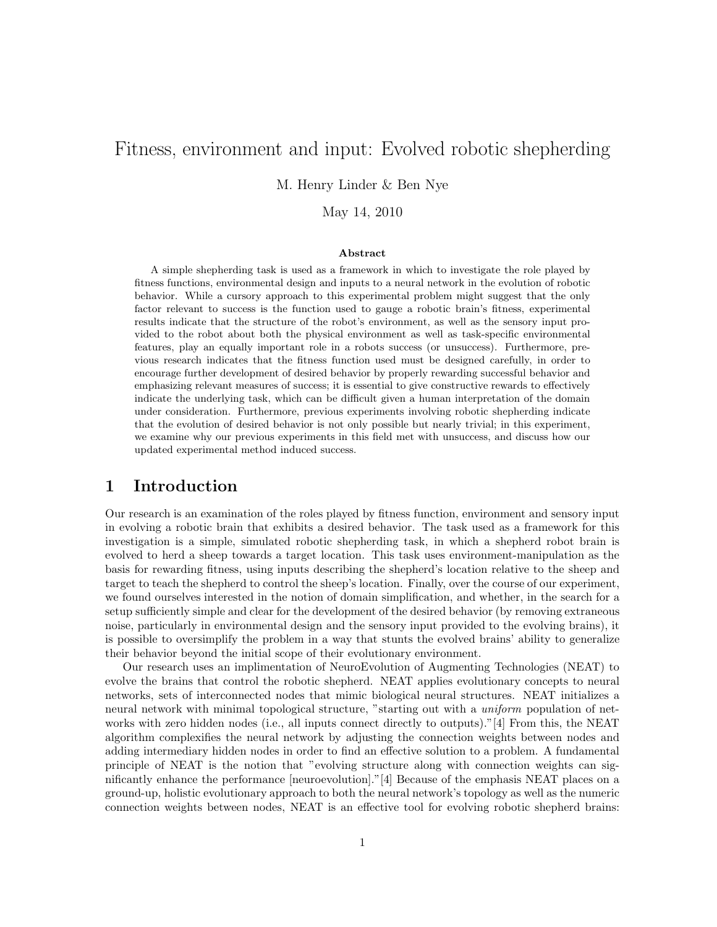# Fitness, environment and input: Evolved robotic shepherding

M. Henry Linder & Ben Nye

May 14, 2010

#### Abstract

A simple shepherding task is used as a framework in which to investigate the role played by fitness functions, environmental design and inputs to a neural network in the evolution of robotic behavior. While a cursory approach to this experimental problem might suggest that the only factor relevant to success is the function used to gauge a robotic brain's fitness, experimental results indicate that the structure of the robot's environment, as well as the sensory input provided to the robot about both the physical environment as well as task-specific environmental features, play an equally important role in a robots success (or unsuccess). Furthermore, previous research indicates that the fitness function used must be designed carefully, in order to encourage further development of desired behavior by properly rewarding successful behavior and emphasizing relevant measures of success; it is essential to give constructive rewards to effectively indicate the underlying task, which can be difficult given a human interpretation of the domain under consideration. Furthermore, previous experiments involving robotic shepherding indicate that the evolution of desired behavior is not only possible but nearly trivial; in this experiment, we examine why our previous experiments in this field met with unsuccess, and discuss how our updated experimental method induced success.

#### 1 Introduction

Our research is an examination of the roles played by fitness function, environment and sensory input in evolving a robotic brain that exhibits a desired behavior. The task used as a framework for this investigation is a simple, simulated robotic shepherding task, in which a shepherd robot brain is evolved to herd a sheep towards a target location. This task uses environment-manipulation as the basis for rewarding fitness, using inputs describing the shepherd's location relative to the sheep and target to teach the shepherd to control the sheep's location. Finally, over the course of our experiment, we found ourselves interested in the notion of domain simplification, and whether, in the search for a setup sufficiently simple and clear for the development of the desired behavior (by removing extraneous noise, particularly in environmental design and the sensory input provided to the evolving brains), it is possible to oversimplify the problem in a way that stunts the evolved brains' ability to generalize their behavior beyond the initial scope of their evolutionary environment.

Our research uses an implimentation of NeuroEvolution of Augmenting Technologies (NEAT) to evolve the brains that control the robotic shepherd. NEAT applies evolutionary concepts to neural networks, sets of interconnected nodes that mimic biological neural structures. NEAT initializes a neural network with minimal topological structure, "starting out with a *uniform* population of networks with zero hidden nodes (i.e., all inputs connect directly to outputs)."[4] From this, the NEAT algorithm complexifies the neural network by adjusting the connection weights between nodes and adding intermediary hidden nodes in order to find an effective solution to a problem. A fundamental principle of NEAT is the notion that "evolving structure along with connection weights can significantly enhance the performance [neuroevolution]."[4] Because of the emphasis NEAT places on a ground-up, holistic evolutionary approach to both the neural network's topology as well as the numeric connection weights between nodes, NEAT is an effective tool for evolving robotic shepherd brains: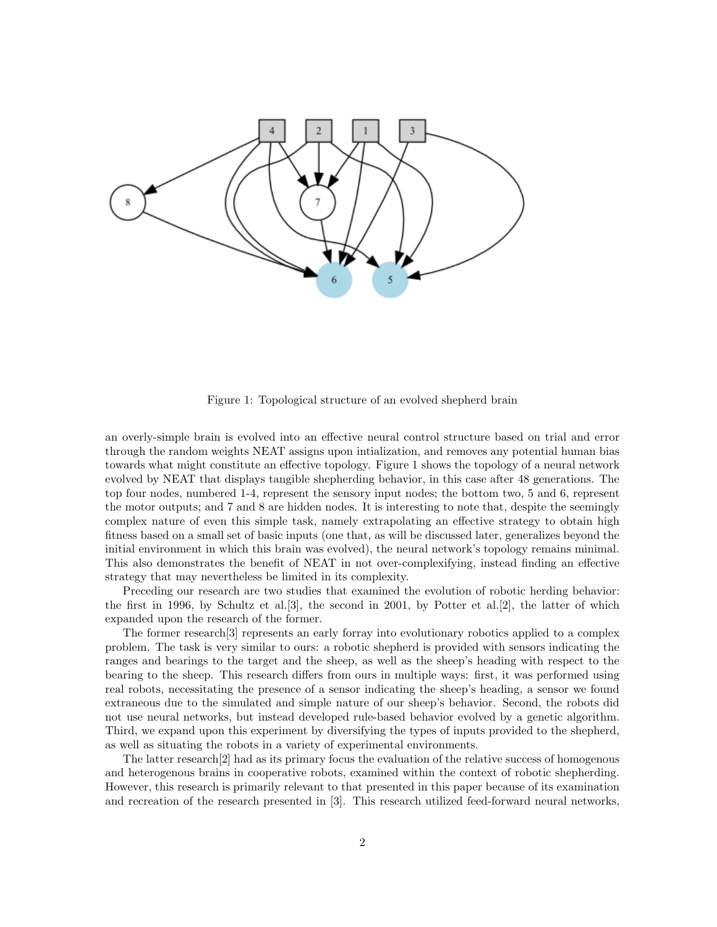

Figure 1: Topological structure of an evolved shepherd brain

an overly-simple brain is evolved into an effective neural control structure based on trial and error through the random weights NEAT assigns upon intialization, and removes any potential human bias towards what might constitute an effective topology. Figure 1 shows the topology of a neural network evolved by NEAT that displays tangible shepherding behavior, in this case after 48 generations. The top four nodes, numbered 1-4, represent the sensory input nodes; the bottom two, 5 and 6, represent the motor outputs; and 7 and 8 are hidden nodes. It is interesting to note that, despite the seemingly complex nature of even this simple task, namely extrapolating an effective strategy to obtain high fitness based on a small set of basic inputs (one that, as will be discussed later, generalizes beyond the initial environment in which this brain was evolved), the neural network's topology remains minimal. This also demonstrates the benefit of NEAT in not over-complexifying, instead finding an effective strategy that may nevertheless be limited in its complexity.

Preceding our research are two studies that examined the evolution of robotic herding behavior: the first in 1996, by Schultz et al.[3], the second in 2001, by Potter et al.[2], the latter of which expanded upon the research of the former.

The former research[3] represents an early forray into evolutionary robotics applied to a complex problem. The task is very similar to ours: a robotic shepherd is provided with sensors indicating the ranges and bearings to the target and the sheep, as well as the sheep's heading with respect to the bearing to the sheep. This research differs from ours in multiple ways: first, it was performed using real robots, necessitating the presence of a sensor indicating the sheep's heading, a sensor we found extraneous due to the simulated and simple nature of our sheep's behavior. Second, the robots did not use neural networks, but instead developed rule-based behavior evolved by a genetic algorithm. Third, we expand upon this experiment by diversifying the types of inputs provided to the shepherd, as well as situating the robots in a variety of experimental environments.

The latter research[2] had as its primary focus the evaluation of the relative success of homogenous and heterogenous brains in cooperative robots, examined within the context of robotic shepherding. However, this research is primarily relevant to that presented in this paper because of its examination and recreation of the research presented in [3]. This research utilized feed-forward neural networks,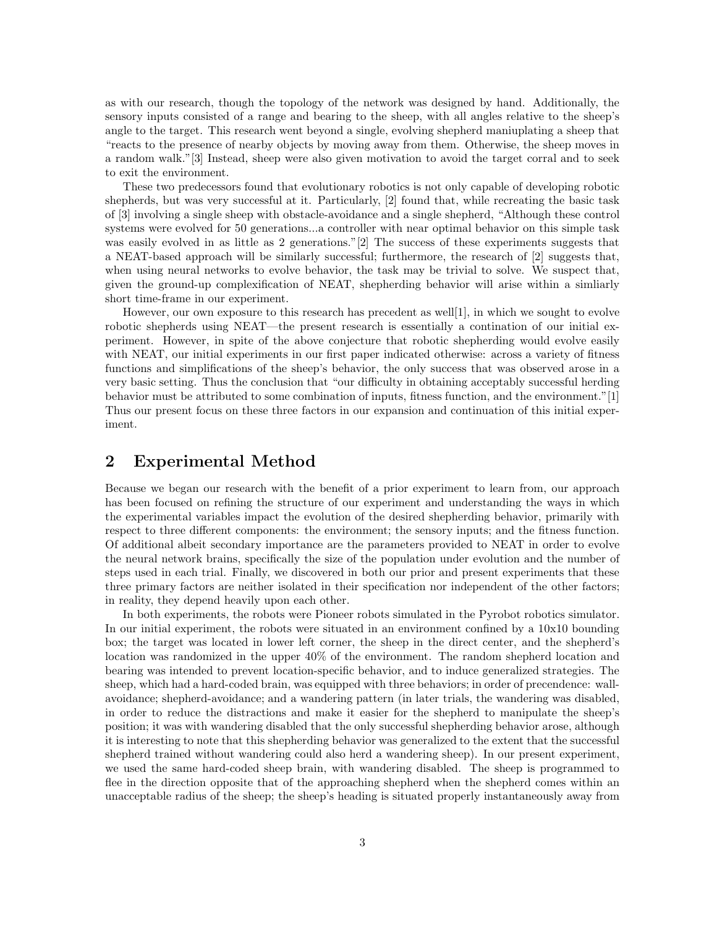as with our research, though the topology of the network was designed by hand. Additionally, the sensory inputs consisted of a range and bearing to the sheep, with all angles relative to the sheep's angle to the target. This research went beyond a single, evolving shepherd maniuplating a sheep that "reacts to the presence of nearby objects by moving away from them. Otherwise, the sheep moves in a random walk."[3] Instead, sheep were also given motivation to avoid the target corral and to seek to exit the environment.

These two predecessors found that evolutionary robotics is not only capable of developing robotic shepherds, but was very successful at it. Particularly, [2] found that, while recreating the basic task of [3] involving a single sheep with obstacle-avoidance and a single shepherd, "Although these control systems were evolved for 50 generations...a controller with near optimal behavior on this simple task was easily evolved in as little as 2 generations."[2] The success of these experiments suggests that a NEAT-based approach will be similarly successful; furthermore, the research of [2] suggests that, when using neural networks to evolve behavior, the task may be trivial to solve. We suspect that, given the ground-up complexification of NEAT, shepherding behavior will arise within a simliarly short time-frame in our experiment.

However, our own exposure to this research has precedent as well[1], in which we sought to evolve robotic shepherds using NEAT—the present research is essentially a contination of our initial experiment. However, in spite of the above conjecture that robotic shepherding would evolve easily with NEAT, our initial experiments in our first paper indicated otherwise: across a variety of fitness functions and simplifications of the sheep's behavior, the only success that was observed arose in a very basic setting. Thus the conclusion that "our difficulty in obtaining acceptably successful herding behavior must be attributed to some combination of inputs, fitness function, and the environment."[1] Thus our present focus on these three factors in our expansion and continuation of this initial experiment.

### 2 Experimental Method

Because we began our research with the benefit of a prior experiment to learn from, our approach has been focused on refining the structure of our experiment and understanding the ways in which the experimental variables impact the evolution of the desired shepherding behavior, primarily with respect to three different components: the environment; the sensory inputs; and the fitness function. Of additional albeit secondary importance are the parameters provided to NEAT in order to evolve the neural network brains, specifically the size of the population under evolution and the number of steps used in each trial. Finally, we discovered in both our prior and present experiments that these three primary factors are neither isolated in their specification nor independent of the other factors; in reality, they depend heavily upon each other.

In both experiments, the robots were Pioneer robots simulated in the Pyrobot robotics simulator. In our initial experiment, the robots were situated in an environment confined by a 10x10 bounding box; the target was located in lower left corner, the sheep in the direct center, and the shepherd's location was randomized in the upper 40% of the environment. The random shepherd location and bearing was intended to prevent location-specific behavior, and to induce generalized strategies. The sheep, which had a hard-coded brain, was equipped with three behaviors; in order of precendence: wallavoidance; shepherd-avoidance; and a wandering pattern (in later trials, the wandering was disabled, in order to reduce the distractions and make it easier for the shepherd to manipulate the sheep's position; it was with wandering disabled that the only successful shepherding behavior arose, although it is interesting to note that this shepherding behavior was generalized to the extent that the successful shepherd trained without wandering could also herd a wandering sheep). In our present experiment, we used the same hard-coded sheep brain, with wandering disabled. The sheep is programmed to flee in the direction opposite that of the approaching shepherd when the shepherd comes within an unacceptable radius of the sheep; the sheep's heading is situated properly instantaneously away from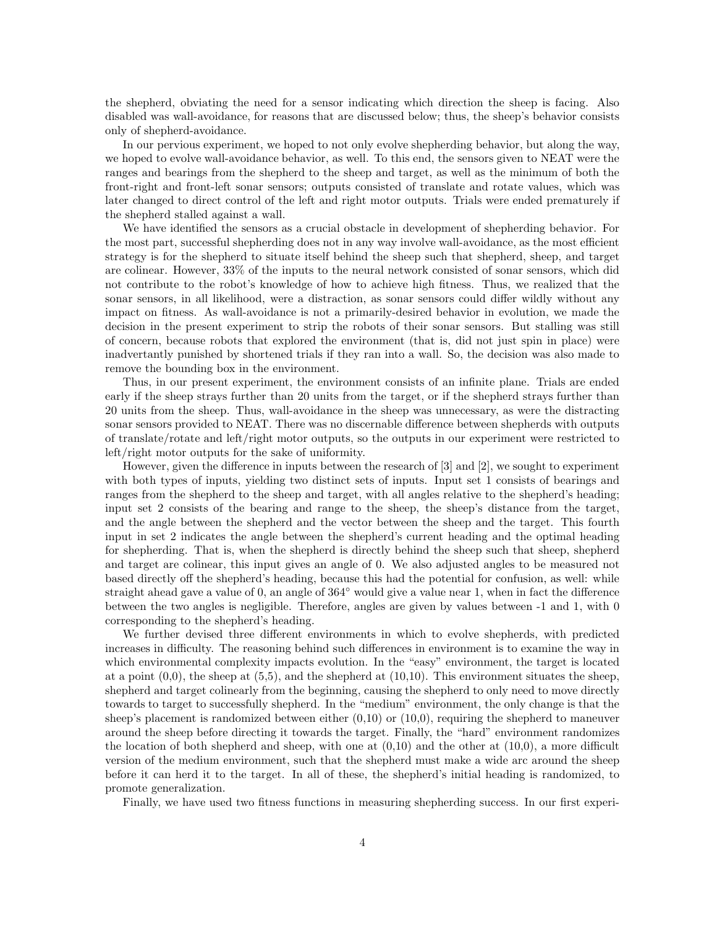the shepherd, obviating the need for a sensor indicating which direction the sheep is facing. Also disabled was wall-avoidance, for reasons that are discussed below; thus, the sheep's behavior consists only of shepherd-avoidance.

In our pervious experiment, we hoped to not only evolve shepherding behavior, but along the way, we hoped to evolve wall-avoidance behavior, as well. To this end, the sensors given to NEAT were the ranges and bearings from the shepherd to the sheep and target, as well as the minimum of both the front-right and front-left sonar sensors; outputs consisted of translate and rotate values, which was later changed to direct control of the left and right motor outputs. Trials were ended prematurely if the shepherd stalled against a wall.

We have identified the sensors as a crucial obstacle in development of shepherding behavior. For the most part, successful shepherding does not in any way involve wall-avoidance, as the most efficient strategy is for the shepherd to situate itself behind the sheep such that shepherd, sheep, and target are colinear. However, 33% of the inputs to the neural network consisted of sonar sensors, which did not contribute to the robot's knowledge of how to achieve high fitness. Thus, we realized that the sonar sensors, in all likelihood, were a distraction, as sonar sensors could differ wildly without any impact on fitness. As wall-avoidance is not a primarily-desired behavior in evolution, we made the decision in the present experiment to strip the robots of their sonar sensors. But stalling was still of concern, because robots that explored the environment (that is, did not just spin in place) were inadvertantly punished by shortened trials if they ran into a wall. So, the decision was also made to remove the bounding box in the environment.

Thus, in our present experiment, the environment consists of an infinite plane. Trials are ended early if the sheep strays further than 20 units from the target, or if the shepherd strays further than 20 units from the sheep. Thus, wall-avoidance in the sheep was unnecessary, as were the distracting sonar sensors provided to NEAT. There was no discernable difference between shepherds with outputs of translate/rotate and left/right motor outputs, so the outputs in our experiment were restricted to left/right motor outputs for the sake of uniformity.

However, given the difference in inputs between the research of [3] and [2], we sought to experiment with both types of inputs, yielding two distinct sets of inputs. Input set 1 consists of bearings and ranges from the shepherd to the sheep and target, with all angles relative to the shepherd's heading; input set 2 consists of the bearing and range to the sheep, the sheep's distance from the target, and the angle between the shepherd and the vector between the sheep and the target. This fourth input in set 2 indicates the angle between the shepherd's current heading and the optimal heading for shepherding. That is, when the shepherd is directly behind the sheep such that sheep, shepherd and target are colinear, this input gives an angle of 0. We also adjusted angles to be measured not based directly off the shepherd's heading, because this had the potential for confusion, as well: while straight ahead gave a value of 0, an angle of  $364°$  would give a value near 1, when in fact the difference between the two angles is negligible. Therefore, angles are given by values between -1 and 1, with 0 corresponding to the shepherd's heading.

We further devised three different environments in which to evolve shepherds, with predicted increases in difficulty. The reasoning behind such differences in environment is to examine the way in which environmental complexity impacts evolution. In the "easy" environment, the target is located at a point  $(0,0)$ , the sheep at  $(5,5)$ , and the shepherd at  $(10,10)$ . This environment situates the sheep, shepherd and target colinearly from the beginning, causing the shepherd to only need to move directly towards to target to successfully shepherd. In the "medium" environment, the only change is that the sheep's placement is randomized between either  $(0,10)$  or  $(10,0)$ , requiring the shepherd to maneuver around the sheep before directing it towards the target. Finally, the "hard" environment randomizes the location of both shepherd and sheep, with one at  $(0,10)$  and the other at  $(10,0)$ , a more difficult version of the medium environment, such that the shepherd must make a wide arc around the sheep before it can herd it to the target. In all of these, the shepherd's initial heading is randomized, to promote generalization.

Finally, we have used two fitness functions in measuring shepherding success. In our first experi-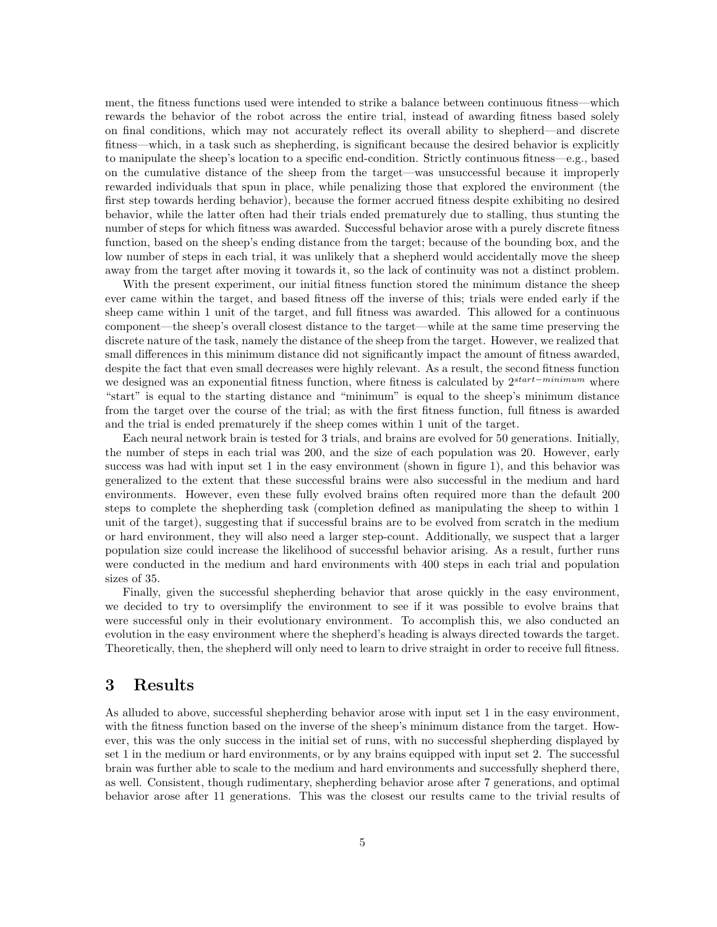ment, the fitness functions used were intended to strike a balance between continuous fitness—which rewards the behavior of the robot across the entire trial, instead of awarding fitness based solely on final conditions, which may not accurately reflect its overall ability to shepherd—and discrete fitness—which, in a task such as shepherding, is significant because the desired behavior is explicitly to manipulate the sheep's location to a specific end-condition. Strictly continuous fitness—e.g., based on the cumulative distance of the sheep from the target—was unsuccessful because it improperly rewarded individuals that spun in place, while penalizing those that explored the environment (the first step towards herding behavior), because the former accrued fitness despite exhibiting no desired behavior, while the latter often had their trials ended prematurely due to stalling, thus stunting the number of steps for which fitness was awarded. Successful behavior arose with a purely discrete fitness function, based on the sheep's ending distance from the target; because of the bounding box, and the low number of steps in each trial, it was unlikely that a shepherd would accidentally move the sheep away from the target after moving it towards it, so the lack of continuity was not a distinct problem.

With the present experiment, our initial fitness function stored the minimum distance the sheep ever came within the target, and based fitness off the inverse of this; trials were ended early if the sheep came within 1 unit of the target, and full fitness was awarded. This allowed for a continuous component—the sheep's overall closest distance to the target—while at the same time preserving the discrete nature of the task, namely the distance of the sheep from the target. However, we realized that small differences in this minimum distance did not significantly impact the amount of fitness awarded, despite the fact that even small decreases were highly relevant. As a result, the second fitness function we designed was an exponential fitness function, where fitness is calculated by 2<sup>start−minimum</sup> where "start" is equal to the starting distance and "minimum" is equal to the sheep's minimum distance from the target over the course of the trial; as with the first fitness function, full fitness is awarded and the trial is ended prematurely if the sheep comes within 1 unit of the target.

Each neural network brain is tested for 3 trials, and brains are evolved for 50 generations. Initially, the number of steps in each trial was 200, and the size of each population was 20. However, early success was had with input set 1 in the easy environment (shown in figure 1), and this behavior was generalized to the extent that these successful brains were also successful in the medium and hard environments. However, even these fully evolved brains often required more than the default 200 steps to complete the shepherding task (completion defined as manipulating the sheep to within 1 unit of the target), suggesting that if successful brains are to be evolved from scratch in the medium or hard environment, they will also need a larger step-count. Additionally, we suspect that a larger population size could increase the likelihood of successful behavior arising. As a result, further runs were conducted in the medium and hard environments with 400 steps in each trial and population sizes of 35.

Finally, given the successful shepherding behavior that arose quickly in the easy environment, we decided to try to oversimplify the environment to see if it was possible to evolve brains that were successful only in their evolutionary environment. To accomplish this, we also conducted an evolution in the easy environment where the shepherd's heading is always directed towards the target. Theoretically, then, the shepherd will only need to learn to drive straight in order to receive full fitness.

### 3 Results

As alluded to above, successful shepherding behavior arose with input set 1 in the easy environment, with the fitness function based on the inverse of the sheep's minimum distance from the target. However, this was the only success in the initial set of runs, with no successful shepherding displayed by set 1 in the medium or hard environments, or by any brains equipped with input set 2. The successful brain was further able to scale to the medium and hard environments and successfully shepherd there, as well. Consistent, though rudimentary, shepherding behavior arose after 7 generations, and optimal behavior arose after 11 generations. This was the closest our results came to the trivial results of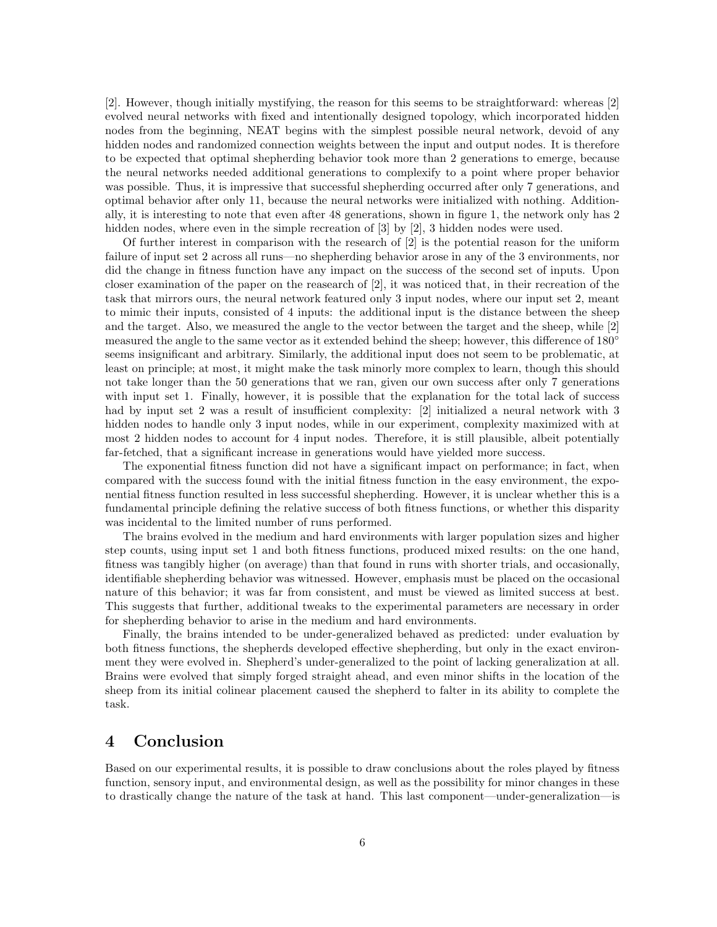[2]. However, though initially mystifying, the reason for this seems to be straightforward: whereas [2] evolved neural networks with fixed and intentionally designed topology, which incorporated hidden nodes from the beginning, NEAT begins with the simplest possible neural network, devoid of any hidden nodes and randomized connection weights between the input and output nodes. It is therefore to be expected that optimal shepherding behavior took more than 2 generations to emerge, because the neural networks needed additional generations to complexify to a point where proper behavior was possible. Thus, it is impressive that successful shepherding occurred after only 7 generations, and optimal behavior after only 11, because the neural networks were initialized with nothing. Additionally, it is interesting to note that even after 48 generations, shown in figure 1, the network only has 2 hidden nodes, where even in the simple recreation of [3] by [2], 3 hidden nodes were used.

Of further interest in comparison with the research of  $[2]$  is the potential reason for the uniform failure of input set 2 across all runs—no shepherding behavior arose in any of the 3 environments, nor did the change in fitness function have any impact on the success of the second set of inputs. Upon closer examination of the paper on the reasearch of [2], it was noticed that, in their recreation of the task that mirrors ours, the neural network featured only 3 input nodes, where our input set 2, meant to mimic their inputs, consisted of 4 inputs: the additional input is the distance between the sheep and the target. Also, we measured the angle to the vector between the target and the sheep, while [2] measured the angle to the same vector as it extended behind the sheep; however, this difference of 180<sup>°</sup> seems insignificant and arbitrary. Similarly, the additional input does not seem to be problematic, at least on principle; at most, it might make the task minorly more complex to learn, though this should not take longer than the 50 generations that we ran, given our own success after only 7 generations with input set 1. Finally, however, it is possible that the explanation for the total lack of success had by input set 2 was a result of insufficient complexity: [2] initialized a neural network with 3 hidden nodes to handle only 3 input nodes, while in our experiment, complexity maximized with at most 2 hidden nodes to account for 4 input nodes. Therefore, it is still plausible, albeit potentially far-fetched, that a significant increase in generations would have yielded more success.

The exponential fitness function did not have a significant impact on performance; in fact, when compared with the success found with the initial fitness function in the easy environment, the exponential fitness function resulted in less successful shepherding. However, it is unclear whether this is a fundamental principle defining the relative success of both fitness functions, or whether this disparity was incidental to the limited number of runs performed.

The brains evolved in the medium and hard environments with larger population sizes and higher step counts, using input set 1 and both fitness functions, produced mixed results: on the one hand, fitness was tangibly higher (on average) than that found in runs with shorter trials, and occasionally, identifiable shepherding behavior was witnessed. However, emphasis must be placed on the occasional nature of this behavior; it was far from consistent, and must be viewed as limited success at best. This suggests that further, additional tweaks to the experimental parameters are necessary in order for shepherding behavior to arise in the medium and hard environments.

Finally, the brains intended to be under-generalized behaved as predicted: under evaluation by both fitness functions, the shepherds developed effective shepherding, but only in the exact environment they were evolved in. Shepherd's under-generalized to the point of lacking generalization at all. Brains were evolved that simply forged straight ahead, and even minor shifts in the location of the sheep from its initial colinear placement caused the shepherd to falter in its ability to complete the task.

### 4 Conclusion

Based on our experimental results, it is possible to draw conclusions about the roles played by fitness function, sensory input, and environmental design, as well as the possibility for minor changes in these to drastically change the nature of the task at hand. This last component—under-generalization—is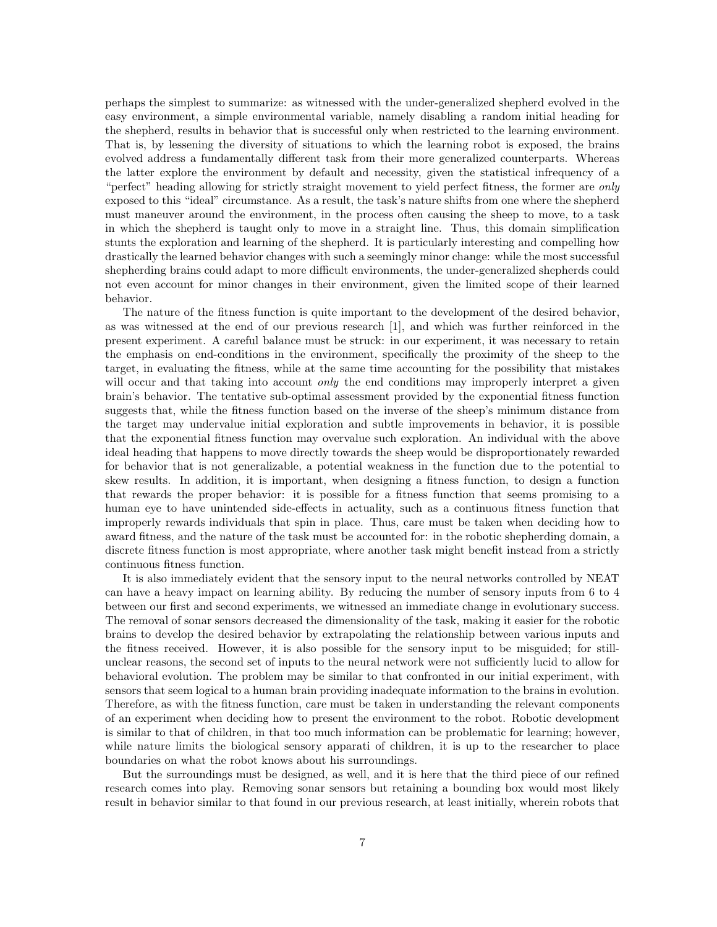perhaps the simplest to summarize: as witnessed with the under-generalized shepherd evolved in the easy environment, a simple environmental variable, namely disabling a random initial heading for the shepherd, results in behavior that is successful only when restricted to the learning environment. That is, by lessening the diversity of situations to which the learning robot is exposed, the brains evolved address a fundamentally different task from their more generalized counterparts. Whereas the latter explore the environment by default and necessity, given the statistical infrequency of a "perfect" heading allowing for strictly straight movement to yield perfect fitness, the former are only exposed to this "ideal" circumstance. As a result, the task's nature shifts from one where the shepherd must maneuver around the environment, in the process often causing the sheep to move, to a task in which the shepherd is taught only to move in a straight line. Thus, this domain simplification stunts the exploration and learning of the shepherd. It is particularly interesting and compelling how drastically the learned behavior changes with such a seemingly minor change: while the most successful shepherding brains could adapt to more difficult environments, the under-generalized shepherds could not even account for minor changes in their environment, given the limited scope of their learned behavior.

The nature of the fitness function is quite important to the development of the desired behavior, as was witnessed at the end of our previous research [1], and which was further reinforced in the present experiment. A careful balance must be struck: in our experiment, it was necessary to retain the emphasis on end-conditions in the environment, specifically the proximity of the sheep to the target, in evaluating the fitness, while at the same time accounting for the possibility that mistakes will occur and that taking into account *only* the end conditions may improperly interpret a given brain's behavior. The tentative sub-optimal assessment provided by the exponential fitness function suggests that, while the fitness function based on the inverse of the sheep's minimum distance from the target may undervalue initial exploration and subtle improvements in behavior, it is possible that the exponential fitness function may overvalue such exploration. An individual with the above ideal heading that happens to move directly towards the sheep would be disproportionately rewarded for behavior that is not generalizable, a potential weakness in the function due to the potential to skew results. In addition, it is important, when designing a fitness function, to design a function that rewards the proper behavior: it is possible for a fitness function that seems promising to a human eye to have unintended side-effects in actuality, such as a continuous fitness function that improperly rewards individuals that spin in place. Thus, care must be taken when deciding how to award fitness, and the nature of the task must be accounted for: in the robotic shepherding domain, a discrete fitness function is most appropriate, where another task might benefit instead from a strictly continuous fitness function.

It is also immediately evident that the sensory input to the neural networks controlled by NEAT can have a heavy impact on learning ability. By reducing the number of sensory inputs from 6 to 4 between our first and second experiments, we witnessed an immediate change in evolutionary success. The removal of sonar sensors decreased the dimensionality of the task, making it easier for the robotic brains to develop the desired behavior by extrapolating the relationship between various inputs and the fitness received. However, it is also possible for the sensory input to be misguided; for stillunclear reasons, the second set of inputs to the neural network were not sufficiently lucid to allow for behavioral evolution. The problem may be similar to that confronted in our initial experiment, with sensors that seem logical to a human brain providing inadequate information to the brains in evolution. Therefore, as with the fitness function, care must be taken in understanding the relevant components of an experiment when deciding how to present the environment to the robot. Robotic development is similar to that of children, in that too much information can be problematic for learning; however, while nature limits the biological sensory apparati of children, it is up to the researcher to place boundaries on what the robot knows about his surroundings.

But the surroundings must be designed, as well, and it is here that the third piece of our refined research comes into play. Removing sonar sensors but retaining a bounding box would most likely result in behavior similar to that found in our previous research, at least initially, wherein robots that